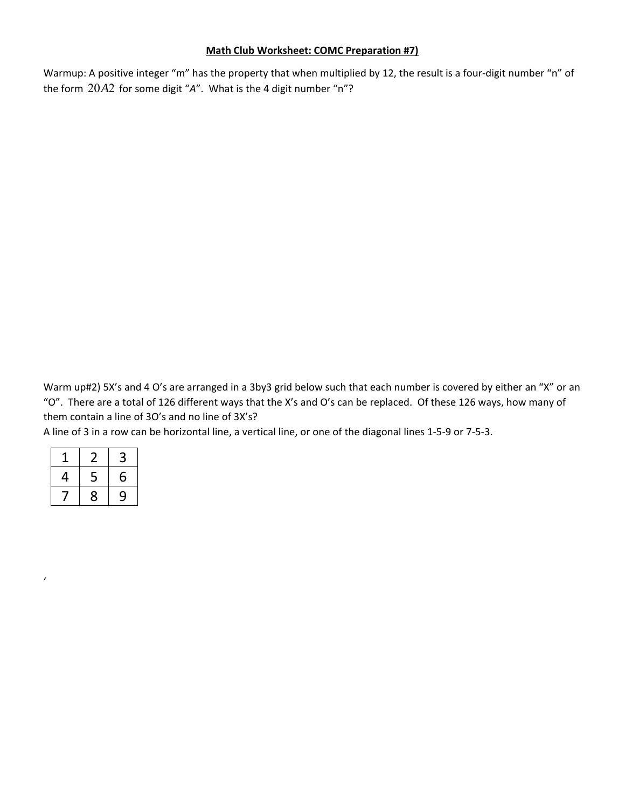## **Math Club Worksheet: COMC Preparation #7)**

Warmup: A positive integer "m" has the property that when multiplied by 12, the result is a four-digit number "n" of the form 20A2 for some digit "A". What is the 4 digit number "n"?

Warm up#2) 5X's and 4 O's are arranged in a 3by3 grid below such that each number is covered by either an "X" or an "O". There are a total of 126 different ways that the X's and O's can be replaced. Of these 126 ways, how many of them contain a line of 3O's and no line of 3X's?

A line of 3 in a row can be horizontal line, a vertical line, or one of the diagonal lines 1‐5‐9 or 7‐5‐3.

|   | ╯ | 3 |
|---|---|---|
| 4 | 5 | 6 |
|   | 8 | 9 |

'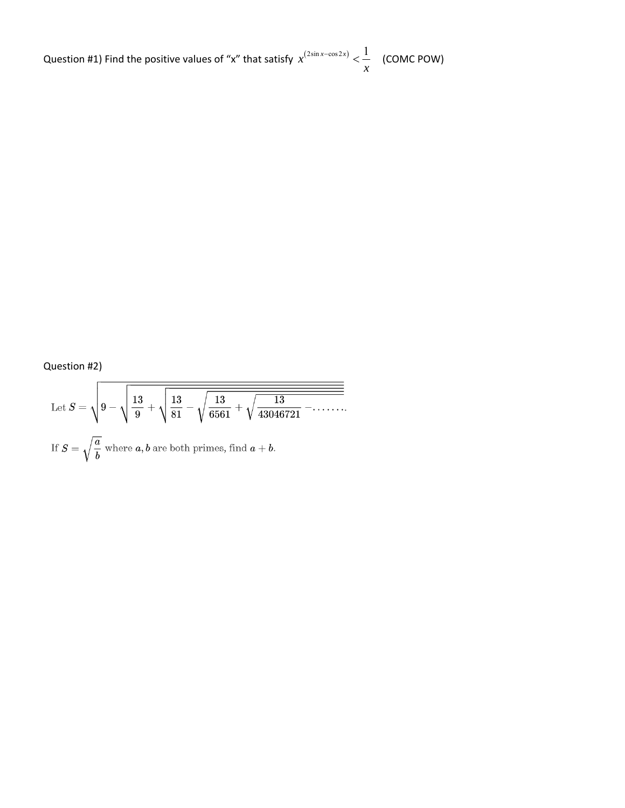Question #1) Find the positive values of "x" that satisfy  $x^{(2\sin x - \cos 2x)} < \frac{1}{x^{(2\sin x - \cos 2x)}}$ *x*  $\epsilon^{-\cos 2x)} < \frac{1}{x}$  (COMC POW)

Question #2)

Let 
$$
S = \sqrt{9 - \sqrt{\frac{13}{9} + \sqrt{\frac{13}{81} - \sqrt{\frac{13}{6561} + \sqrt{\frac{13}{43046721} - \cdots}}}}}
$$
  
If  $S = \sqrt{\frac{a}{b}}$  where *a*, *b* are both primes, find *a* + *b*.